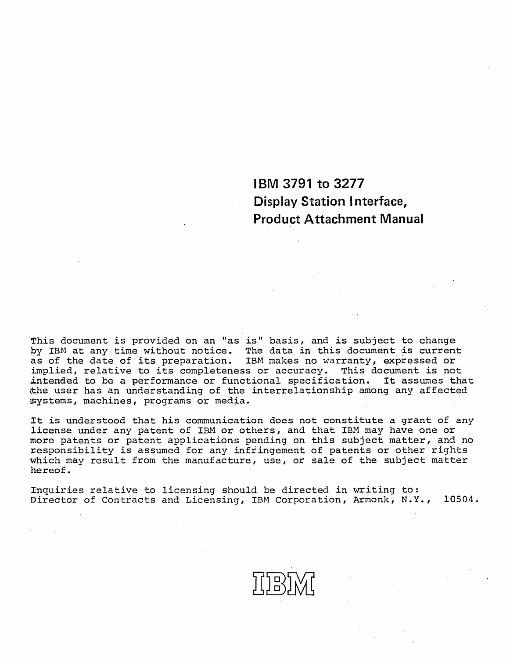**IBM 3791 to 3277 Display Station Interface, Product Attachment Manual** 

'This document is provided on an "as *is"* basis, and *is* subject to change by IBM at any time without notice. The data in this document is current by ibn at any time without hotice. The data in this document is current<br>as of the date of its preparation. IBM makes no warranty, expressed or implied, relative to its completeness or accuracy. This document is not intended to be a performance or functional specification. It assumes that the user has an understanding of the interrelationship among any affected \$ystems, machines, programs or media.

It is understood that his communication does not constitute a grant of any license under any patent of IBM or others, and that IBM may have one or more patents or patent applications pending on this subject matter, and no responsibility is assumed for any infringement of patents or other rights which may result from the manufacture, use, or sale of the subject matter hereof.

Inquiries relative to licensing should be directed in writing to: Director of Contracts and Licensing, IBM Corporation, Armonk, N.Y., 10504.

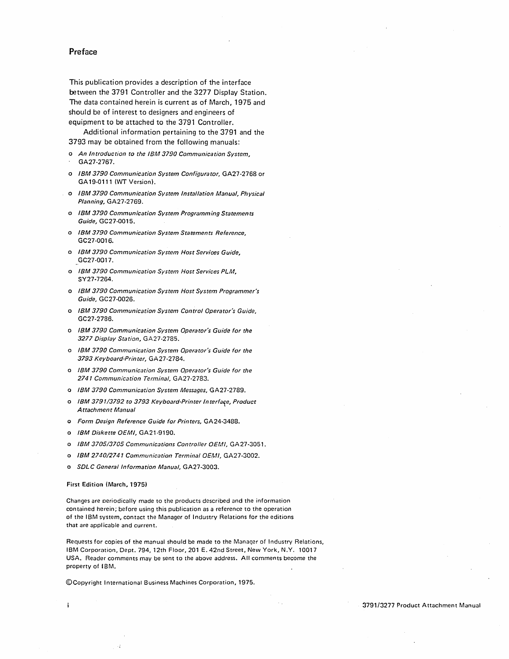#### **Preface**

This publication provides a description of the interface between the 3791 Controller and the 3277 Display Station. The data contained herein is current as of March, 1975 and should be of interest to designers and engineers of equipment to be attached to the 3791 Controller.

Additional information pertaining to the 3791 and the 3793 may be obtained from the following manuals:

- o An Introduction to the IBM *3790* Communication System, GA27-2767.
- o IBM *3790* Communication System Configura tor, GA27-2768 or GA 19-0111 {WT Version}.
- o IBM *3790* Communication System Installation Manual, Phvsical Planning, GA27-2769.
- o IBM *3790* Communication System Programming Statements Guide, GC27·0015.
- o IBM *3790* Communication System Statements Reference, GC27-0016.
- o IBM *3790* Communication System Host Services Guide, GC27-0017.
- o IBM *3790* Communication System Host Services PLM, SY27-7264.
- o IBM *3790* Communication System Host System Programmer's Guide, GC27-0026.
- o IBM *3790* Communication System Control Operator's Guide, GC27-2786.
- o IBM *3790* Communication System Operator's Guide for the *3277* Display Station, GA27-2785.
- o IBM *3790* Communication System Operator's Guide for the *3793* Keyboard-Printer, GA27-2784.
- o IBM *3790* Communication System Operator's Guide for the *2741* Communication Terminal, GA27-2783.
- o IBM *3790* Communication System Messages, GA27-2789.
- o IBM 3791/3792 to 3793 Keyboard-Printer Interface, Product Attachment Manual
- o Form Design Reference Guide for Printers, GA24-3488.
- o IBM Diskette OEMI, GA21-9190.
- o IBM *370513705* Communications Controller OEMI, GA27-3051.
- o IBM *2740/2741* Communication Terminal OEMI, GA27-3002.
- o SDLC General Information Manual, GA27-3003.

#### First Edition (March, 1975)

 $\mathbf{i}$ 

Changes are oeriodically made to the products described and the information contained herein; before using this publication as a reference to the operation of the IBM system, contact the Manager of Industry Relations for the editions that are applicable and current.

Requests for copies of the manual should be made to the Manager of Industry Relations, IBM Corporation, Dept. 794, 12th Floor, 201 E. 42nd Street, New York, N.Y. 10017 USA. Reader comments may be sent to the above address. All comments become the property of IBM.

©Copyright International Business Machines Corporation, 1975.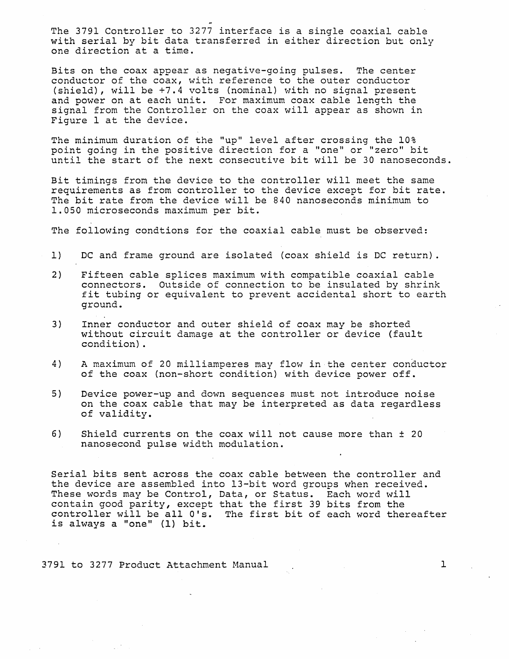The 3791 Controller to 3277 interface is a single coaxial cable with serial by bit data transferred in either direction but only one direction at a time.

Bits on the coax appear as negative-going pulses. The center conductor of the coax, with reference to the outer conductor (shield), will be +7.4 volts (nominal) with no signal present and power on at each unit. For maximum coax cable length the signal from the Controller on the coax will appear as shown in Figure 1 at the device.

The minimum duration of the "up" level after crossing the 10% point going in the positive direction for a "one" or "zero" bit until the start of the next consecutive bit will be 30 nanoseconds.

Bit timings from the device to the controller will meet the same requirements as from controller to the device except for bit rate. The bit rate from the device will be 840 nanoseconds minimum to 1.050 microseconds maximum per bit.

The following condtions for the coaxial cable must be observed:

- 1) DC and frame ground are isolated (coax shield is DC return).
- 2) Fifteen cable splices maximum with compatible coaxial cable connectors. Outside of connection to be insulated by shrink fit tubing or equivalent to prevent accidental short to earth ground.
- 3) Inner conductor and outer shield of coax may be shorted without circuit damage at the controller or device (fault condition) .
- 4) A maximum of 20 milliamperes may flow in the center conductor of the coax (non-short condition) with device power off.
- 5) Device power-up and down sequences must not introduce noise on the coax cable that may be interpreted as data regardless of validity.
- 6) Shield currents on the coax will not cause more than ± 20 nanosecond pulse width modulation.

Serial bits sent across the coax cable between the controller and the device are assembled into 13-bit word groups when received. These words may be Control, Data, or Status. Each word will contain good parity, except that the first 39 bits from the controller will be all O's. The first bit of each word thereafter is always a "one" (1) bit.

3791 to 3277 Product Attachment Manual 1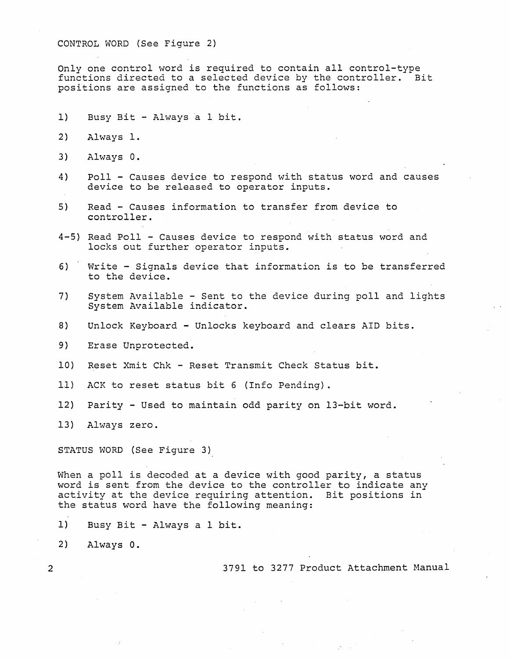CONTROL WORD (See Figure 2)

Only one control \vord is required to contain all control-type functions directed to a selected device by the controller. Bit positions are assigned to the functions as follows:

- 1) Busy Bit Always a 1 bit.
- 2) Always 1.
- 3) Always O.
- 4) Poll Causes device to respond with status word and causes device to be released to operator inputs.
- 5) Read Causes information to transfer from device to controller.
- 4-5) Read Poll Causes device to respond with status word and locks out further operator inputs.
- 6) Write Signals device that information is to be transferred to the device.
- 7) System Available Sent to the device during poll and lights System Available indicator.
- 8) Unlock Keyboard Unlocks keyboard and clears AID bits.
- 9) Erase Unprotected.
- 10) Reset Xmit Chk Reset Transmit Check Status bit.
- 11) ACK to reset status bit 6 (Info Pending).
- 12) Parity Used to maintain odd parity on 13-bit word.

13) Always zero.

STATUS WORD (See Figure 3)

When a poll is decoded at a device with good parity, a status word is sent from the device to the controller to indicate any activity at the device requiring attention. Bit positions in the status word have the following meaning:

- 1) Busy Bit Always a 1 bit.
- 2) Always O.

2 3791 to 3277 Product Attachment Manual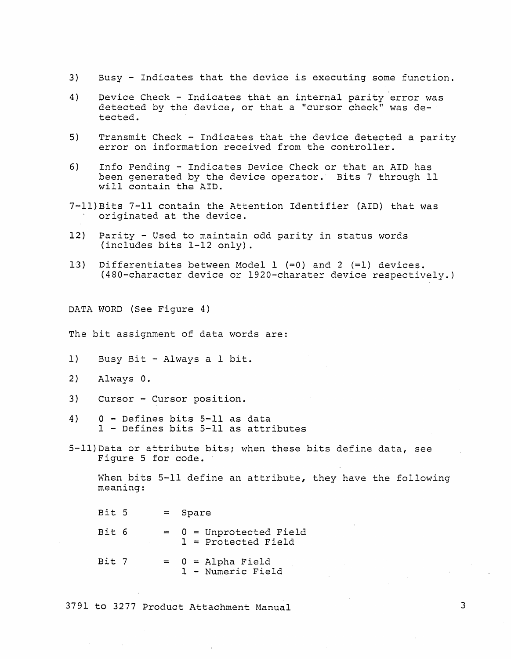- 3) Busy Indicates that the device is executing some function.
- 4) Device Check Indicates that an internal parity error was detected by the device, or that a "cursor check" was de-· tected.
- 5) Transmit Check Indicates that the device detected a parity error on information received from the controller.
- 6) Info Pending Indicates Device Check or that an AID has been generated by the device operator. Bits 7 through 11 will contain the AID.
- 7-11)Bits 7-11 contain the Attention Identifier (AID) that was originated at the device.
- 12) Parity Used to maintain odd parity in status words (includes bits 1-12 only).
- 13) Differentiates between Model 1 (=0) and 2 (=1) devices. (480-character device or 1920-charater device respectively.)

DATA WORD (See Figure 4)

The bit assignment of data words are:

- 1) Busy Bit Always a 1 bit.
- 2) Always O.
- 3) Cursor Cursor position.
- 4) 0 Defines bits 5-11 as data 1 - Defines bits 5-11 as attributes
- 5-11)Data or attribute bits; when these bits define data, see Figure 5 for code. '

When bits 5-11 define an attribute, they have the following meaning:

 $Bit 5 = Space$ Bit  $6 = 0 =$  Unprotected Field 1 = Protected Field Bit  $7 = 0 =$  Alpha Field 1 - Numeric Field

3791 to 3277 Product Attachment Manual 3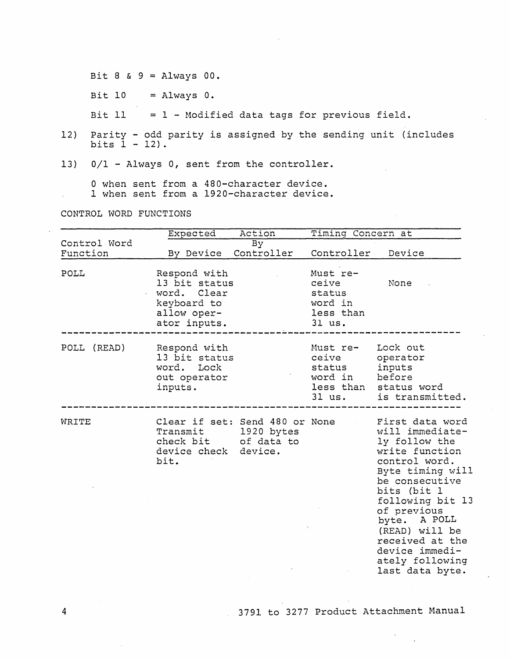Bit 8  $\&$  9 = Always 00.

Bit 10 **= Always O.** 

Bit  $11 = 1$  - Modified data tags for previous field.

12) Parity - odd parity is assigned by the sending unit (includes  $bits$   $1 - 12$ ).

13) 0/1 - Always 0, sent from the controller.

o when sent from a 480-character device. 1 when sent from a 1920-character device.

### CONTROL WORD FUNCTIONS

|                          | Expected                                                                                           | Action           | Timing Concern at                                               |                                                                                                                                                                                                                                                                                             |  |  |  |
|--------------------------|----------------------------------------------------------------------------------------------------|------------------|-----------------------------------------------------------------|---------------------------------------------------------------------------------------------------------------------------------------------------------------------------------------------------------------------------------------------------------------------------------------------|--|--|--|
| Control Word<br>Function | By Device                                                                                          | By<br>Controller | Controller                                                      | Device                                                                                                                                                                                                                                                                                      |  |  |  |
| POLL                     | Respond with<br>13 bit status<br>word.<br>Clear<br>keyboard to<br>allow oper-<br>ator inputs.      |                  | Must re-<br>ceive<br>status<br>word in<br>less than<br>31 us.   | None                                                                                                                                                                                                                                                                                        |  |  |  |
| POLL (READ)              | Respond with<br>13 bit status<br>word.<br>Lock<br>out operator<br>inputs.                          |                  | Must re-<br>ceive<br>status<br>word in<br>less than<br>$31$ us. | Lock out<br>operator<br>inputs<br>before<br>status word<br>is transmitted.                                                                                                                                                                                                                  |  |  |  |
| WRITE                    | Clear if set: Send 480 or None<br>Transmit<br>check bit of data to<br>device check device.<br>bit. | 1920 bytes       |                                                                 | First data word<br>will immediate-<br>ly follow the<br>write function<br>control word.<br>Byte timing will<br>be consecutive<br>bits (bit 1<br>following bit 13<br>of previous<br>byte. A POLL<br>(READ) will be<br>received at the<br>device immedi-<br>ately following<br>last data byte. |  |  |  |

3791 to 3277 Product Attachment Manual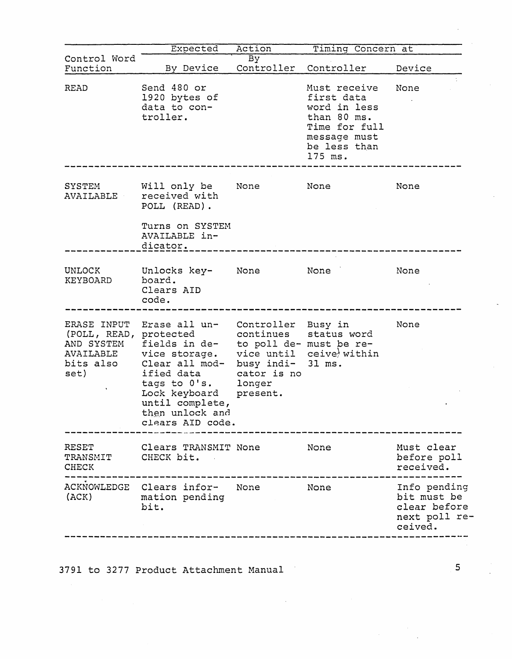|                                                                             | Expected                                                                                                                                                                                | Action                                                                     | Timing Concern at                                                                                                     |                                                                         |
|-----------------------------------------------------------------------------|-----------------------------------------------------------------------------------------------------------------------------------------------------------------------------------------|----------------------------------------------------------------------------|-----------------------------------------------------------------------------------------------------------------------|-------------------------------------------------------------------------|
| Control Word<br>Function                                                    | By Device                                                                                                                                                                               | $\overline{By}$<br>Controller                                              | Controller                                                                                                            | Device                                                                  |
| READ                                                                        | Send 480 or<br>1920 bytes of<br>data to con-<br>troller.                                                                                                                                |                                                                            | Must receive<br>first data<br>word in less<br>than 80 ms.<br>Time for full<br>message must<br>be less than<br>175 ms. | None                                                                    |
| SYSTEM<br>AVAILABLE                                                         | Will only be<br>received with<br>POLL (READ).<br>Turns on SYSTEM<br>AVAILABLE in-<br>dicator.                                                                                           | None                                                                       | None                                                                                                                  | None                                                                    |
| UNLOCK<br>KEYBOARD                                                          | Unlocks key-<br>board.<br>Clears AID<br>code.                                                                                                                                           | None                                                                       | None                                                                                                                  | None                                                                    |
| ERASE INPUT<br>(POLL, READ,<br>AND SYSTEM<br>AVAILABLE<br>bits also<br>set) | Erase all un-<br>protected<br>fields in de-<br>vice storage.<br>Clear all mod-<br>ified data<br>tags to O's.<br>Lock keyboard<br>until complete,<br>then unlock and<br>clears AID code. | Controller<br>continues<br>busy indi-<br>cator is no<br>longer<br>present. | Busy in<br>status word<br>to poll de- must be re-<br>vice until ceive within<br>31 ms.                                | None                                                                    |
| RESET<br>TRANSMIT<br><b>CHECK</b>                                           | Clears TRANSMIT None<br>CHECK bit.                                                                                                                                                      |                                                                            | None                                                                                                                  | Must clear<br>before poll<br>received.                                  |
| ACKNOWLEDGE<br>(ACK)                                                        | Clears infor-<br>mation pending<br>bit.                                                                                                                                                 | None                                                                       | None                                                                                                                  | Info pending<br>bit must be<br>clear before<br>next poll re-<br>ceived. |

 $\ddot{\phantom{a}}$ 

3791 to 3277 Product Attachment Manual

5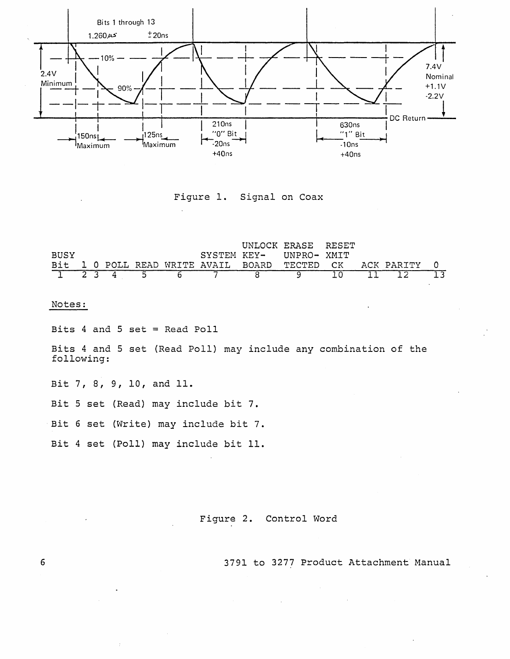

Figure 1. Signal on Coax

|      |  |  |                         | UNLOCK ERASE RESET |  |                                                            |  |
|------|--|--|-------------------------|--------------------|--|------------------------------------------------------------|--|
| BUSY |  |  | SYSTEM KEY- UNPRO- XMIT |                    |  |                                                            |  |
|      |  |  |                         |                    |  | Bit 1 0 POLL READ WRITE AVAIL BOARD TECTED CK ACK PARITY 0 |  |
|      |  |  |                         |                    |  | 1 2 3 4 5 6 7 8 9 10 11 12 13                              |  |

Notes:

Bits 4 and 5 set = Read Poll

Bits 4 and 5 set (Read Poll) may include any combination of the following:

Bit 7, 8, 9, 10, and 11.

Bit 5 set (Read) may include bit 7.

Bit 6 set (Write) may include bit 7.

Bit 4 set (Poll) may include bit 11.

Figure 2. Control Word

6 3791 to 3277 Product Attachment Manual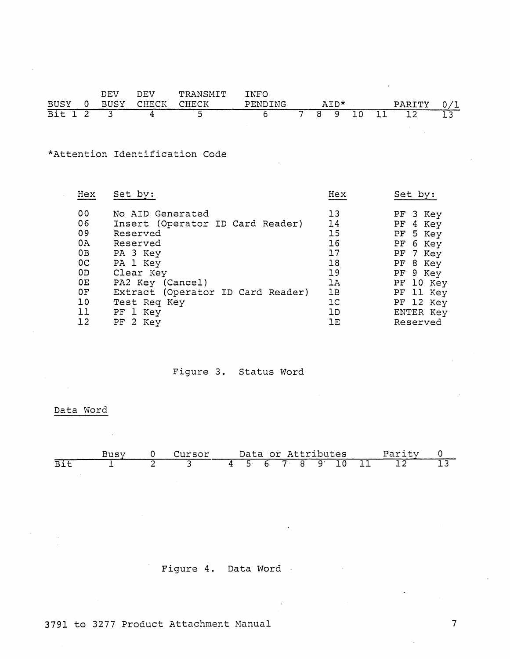|             | DEV | זיתח       | TRANSMIT | INFO    |   |      |   |  |        |     |
|-------------|-----|------------|----------|---------|---|------|---|--|--------|-----|
| <b>BUSY</b> |     | BUSY CHECK | CHECK    | PENDING |   | AID* |   |  | PARITY | 0/1 |
| Bit 1 2     |     |            |          |         | - |      | Q |  |        |     |

\*Attention Identification Code

| Set by:<br>Hex                                                                                                                                                                                                                                                                                                                    | Hex                                                                              | Set by:                                                                                                                                                          |
|-----------------------------------------------------------------------------------------------------------------------------------------------------------------------------------------------------------------------------------------------------------------------------------------------------------------------------------|----------------------------------------------------------------------------------|------------------------------------------------------------------------------------------------------------------------------------------------------------------|
| 0 <sub>0</sub><br>No AID Generated<br>06<br>Insert (Operator ID Card Reader)<br>09<br>Reserved<br>0A<br>Reserved<br>0B<br>PA 3 Key<br>0 <sup>o</sup><br>PA 1 Key<br>0 <sub>D</sub><br>Clear Key<br>0E<br>PA2 Key (Cancel)<br>0F<br>Extract (Operator ID Card Reader)<br>10<br>Test Req Key<br>11<br>PF 1 Key<br>12<br>2 Key<br>PF | 13<br>14<br>15<br>16<br>17<br>18<br>19<br>1A<br>1B<br>1 <sup>C</sup><br>1D<br>1E | 3 Key<br>PF.<br>PF<br>4 Key<br>PF 5 Key<br>$\rm PF$<br>6 Key<br>PF 7 Key<br>PF 8 Key<br>PF 9 Key<br>PF 10 Key<br>PF 11 Key<br>PF 12 Key<br>ENTER Key<br>Reserved |

# Figure 3. Status Word

Data Word

|                 | Data or Attributes<br>Cursor<br>Busy            |              |                            |  |                |  |           |  |  | Parity |                 |    |
|-----------------|-------------------------------------------------|--------------|----------------------------|--|----------------|--|-----------|--|--|--------|-----------------|----|
| <b>Bit</b>      |                                                 | 2            | $\overline{3}$             |  | 4 5 6 7 8 9 10 |  |           |  |  | 11     | $\overline{12}$ | 13 |
| $\sim$          |                                                 |              |                            |  |                |  |           |  |  |        |                 |    |
|                 |                                                 |              | and the state of the state |  |                |  |           |  |  |        |                 |    |
|                 |                                                 |              |                            |  |                |  |           |  |  |        |                 |    |
|                 |                                                 |              |                            |  |                |  |           |  |  |        |                 |    |
|                 | the contract of the contract of the contract of | and the con- |                            |  |                |  |           |  |  |        |                 |    |
| <b>Contract</b> |                                                 |              |                            |  |                |  | $\bullet$ |  |  |        |                 |    |
| $\sim$          |                                                 |              |                            |  |                |  |           |  |  |        |                 |    |

Figure 4. Data Word